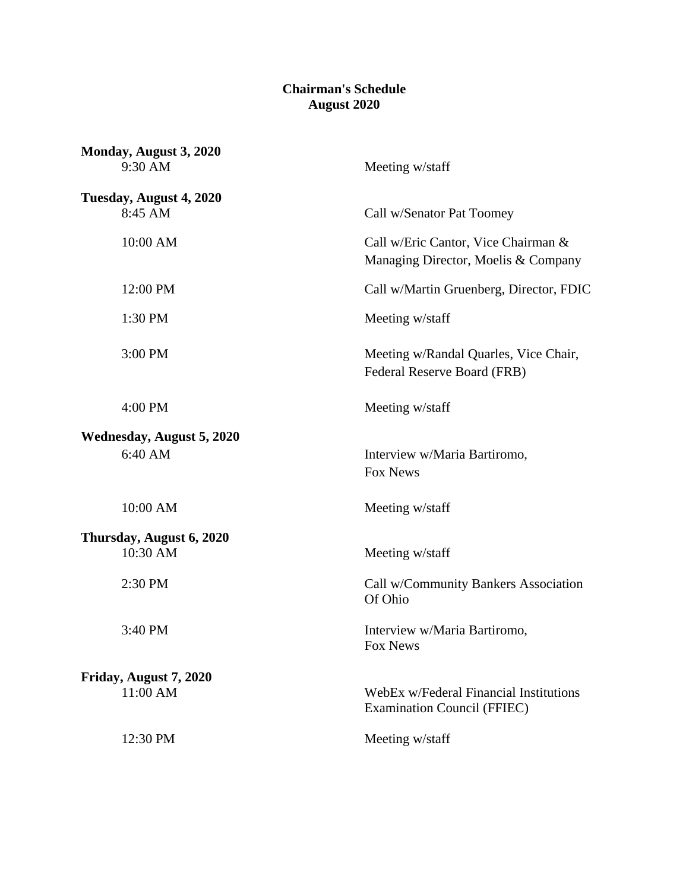## **Chairman's Schedule August 2020**

| Monday, August 3, 2020<br>9:30 AM           | Meeting w/staff                                                              |
|---------------------------------------------|------------------------------------------------------------------------------|
| Tuesday, August 4, 2020<br>8:45 AM          | Call w/Senator Pat Toomey                                                    |
| 10:00 AM                                    | Call w/Eric Cantor, Vice Chairman &<br>Managing Director, Moelis & Company   |
| 12:00 PM                                    | Call w/Martin Gruenberg, Director, FDIC                                      |
| 1:30 PM                                     | Meeting w/staff                                                              |
| 3:00 PM                                     | Meeting w/Randal Quarles, Vice Chair,<br>Federal Reserve Board (FRB)         |
| 4:00 PM                                     | Meeting w/staff                                                              |
| <b>Wednesday, August 5, 2020</b><br>6:40 AM | Interview w/Maria Bartiromo,<br>Fox News                                     |
| 10:00 AM                                    | Meeting w/staff                                                              |
| Thursday, August 6, 2020<br>10:30 AM        | Meeting w/staff                                                              |
| 2:30 PM                                     | Call w/Community Bankers Association<br>Of Ohio                              |
| 3:40 PM                                     | Interview w/Maria Bartiromo,<br>Fox News                                     |
| Friday, August 7, 2020<br>11:00 AM          | WebEx w/Federal Financial Institutions<br><b>Examination Council (FFIEC)</b> |
| 12:30 PM                                    | Meeting w/staff                                                              |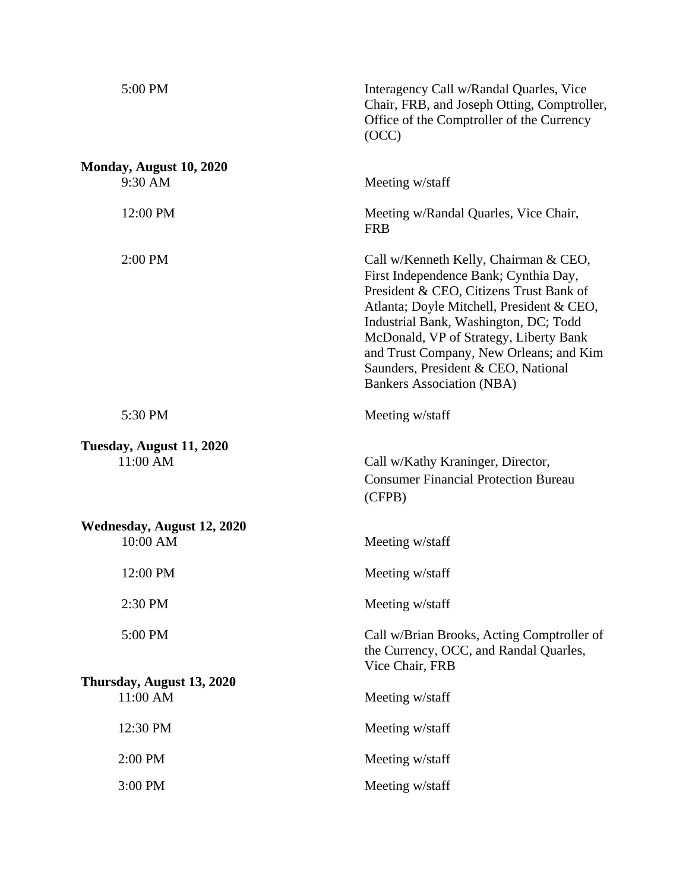| 5:00 PM                                | Interagency Call w/Randal Quarles, Vice<br>Chair, FRB, and Joseph Otting, Comptroller,<br>Office of the Comptroller of the Currency<br>(OCC)                                                                                                                                                                                                                                    |
|----------------------------------------|---------------------------------------------------------------------------------------------------------------------------------------------------------------------------------------------------------------------------------------------------------------------------------------------------------------------------------------------------------------------------------|
| Monday, August 10, 2020<br>9:30 AM     | Meeting w/staff                                                                                                                                                                                                                                                                                                                                                                 |
| 12:00 PM                               | Meeting w/Randal Quarles, Vice Chair,<br><b>FRB</b>                                                                                                                                                                                                                                                                                                                             |
| 2:00 PM                                | Call w/Kenneth Kelly, Chairman & CEO,<br>First Independence Bank; Cynthia Day,<br>President & CEO, Citizens Trust Bank of<br>Atlanta; Doyle Mitchell, President & CEO,<br>Industrial Bank, Washington, DC; Todd<br>McDonald, VP of Strategy, Liberty Bank<br>and Trust Company, New Orleans; and Kim<br>Saunders, President & CEO, National<br><b>Bankers Association (NBA)</b> |
| 5:30 PM                                | Meeting w/staff                                                                                                                                                                                                                                                                                                                                                                 |
| Tuesday, August 11, 2020<br>11:00 AM   | Call w/Kathy Kraninger, Director,<br><b>Consumer Financial Protection Bureau</b><br>(CFPB)                                                                                                                                                                                                                                                                                      |
| Wednesday, August 12, 2020<br>10:00 AM | Meeting w/staff                                                                                                                                                                                                                                                                                                                                                                 |
| 12:00 PM                               | Meeting w/staff                                                                                                                                                                                                                                                                                                                                                                 |
| 2:30 PM                                | Meeting w/staff                                                                                                                                                                                                                                                                                                                                                                 |
| 5:00 PM                                | Call w/Brian Brooks, Acting Comptroller of<br>the Currency, OCC, and Randal Quarles,<br>Vice Chair, FRB                                                                                                                                                                                                                                                                         |
| Thursday, August 13, 2020<br>11:00 AM  | Meeting w/staff                                                                                                                                                                                                                                                                                                                                                                 |
| 12:30 PM                               | Meeting w/staff                                                                                                                                                                                                                                                                                                                                                                 |
| 2:00 PM                                | Meeting w/staff                                                                                                                                                                                                                                                                                                                                                                 |
| 3:00 PM                                | Meeting w/staff                                                                                                                                                                                                                                                                                                                                                                 |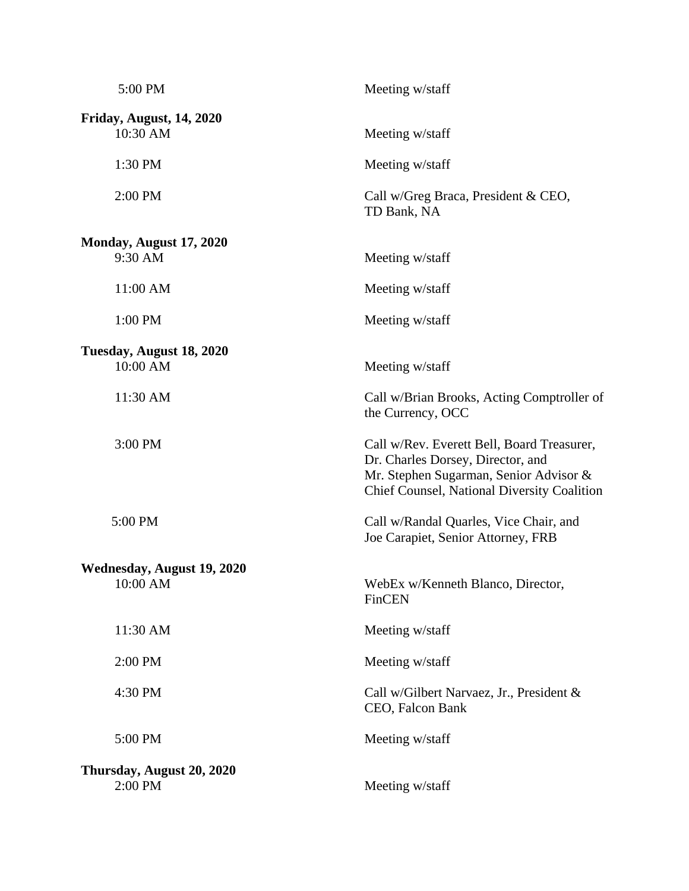| 5:00 PM                         | Meeting w/staff                                                                                                                                                          |
|---------------------------------|--------------------------------------------------------------------------------------------------------------------------------------------------------------------------|
| <b>Friday, August, 14, 2020</b> |                                                                                                                                                                          |
| 10:30 AM                        | Meeting w/staff                                                                                                                                                          |
| 1:30 PM                         | Meeting w/staff                                                                                                                                                          |
| 2:00 PM                         | Call w/Greg Braca, President & CEO,<br>TD Bank, NA                                                                                                                       |
| Monday, August 17, 2020         |                                                                                                                                                                          |
| 9:30 AM                         | Meeting w/staff                                                                                                                                                          |
| 11:00 AM                        | Meeting w/staff                                                                                                                                                          |
| 1:00 PM                         | Meeting w/staff                                                                                                                                                          |
| Tuesday, August 18, 2020        |                                                                                                                                                                          |
| 10:00 AM                        | Meeting w/staff                                                                                                                                                          |
| 11:30 AM                        | Call w/Brian Brooks, Acting Comptroller of<br>the Currency, OCC                                                                                                          |
| 3:00 PM                         | Call w/Rev. Everett Bell, Board Treasurer,<br>Dr. Charles Dorsey, Director, and<br>Mr. Stephen Sugarman, Senior Advisor &<br>Chief Counsel, National Diversity Coalition |
| 5:00 PM                         | Call w/Randal Quarles, Vice Chair, and<br>Joe Carapiet, Senior Attorney, FRB                                                                                             |
| Wednesday, August 19, 2020      |                                                                                                                                                                          |
| 10:00 AM                        | WebEx w/Kenneth Blanco, Director,<br>FinCEN                                                                                                                              |
| 11:30 AM                        | Meeting w/staff                                                                                                                                                          |
| 2:00 PM                         | Meeting w/staff                                                                                                                                                          |
| 4:30 PM                         | Call w/Gilbert Narvaez, Jr., President &<br>CEO, Falcon Bank                                                                                                             |
| 5:00 PM                         | Meeting w/staff                                                                                                                                                          |
| Thursday, August 20, 2020       |                                                                                                                                                                          |
| 2:00 PM                         | Meeting w/staff                                                                                                                                                          |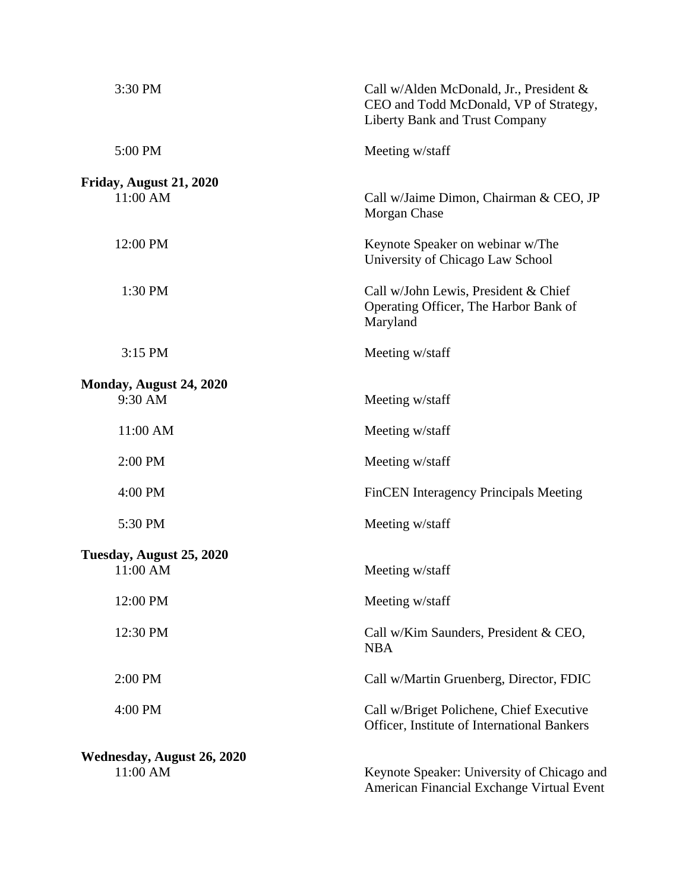| 3:30 PM                             | Call w/Alden McDonald, Jr., President &<br>CEO and Todd McDonald, VP of Strategy,<br>Liberty Bank and Trust Company |
|-------------------------------------|---------------------------------------------------------------------------------------------------------------------|
| 5:00 PM                             | Meeting w/staff                                                                                                     |
| Friday, August 21, 2020<br>11:00 AM | Call w/Jaime Dimon, Chairman & CEO, JP<br>Morgan Chase                                                              |
| 12:00 PM                            | Keynote Speaker on webinar w/The<br>University of Chicago Law School                                                |
| 1:30 PM                             | Call w/John Lewis, President & Chief<br>Operating Officer, The Harbor Bank of<br>Maryland                           |
| 3:15 PM                             | Meeting w/staff                                                                                                     |
| Monday, August 24, 2020             |                                                                                                                     |
| 9:30 AM                             | Meeting w/staff                                                                                                     |
| 11:00 AM                            | Meeting w/staff                                                                                                     |
| $2:00$ PM                           | Meeting w/staff                                                                                                     |
| 4:00 PM                             | FinCEN Interagency Principals Meeting                                                                               |
| 5:30 PM                             | Meeting w/staff                                                                                                     |
| Tuesday, August 25, 2020            |                                                                                                                     |
| 11:00 AM                            | Meeting w/staff                                                                                                     |
| 12:00 PM                            | Meeting w/staff                                                                                                     |
| 12:30 PM                            | Call w/Kim Saunders, President & CEO,<br><b>NBA</b>                                                                 |
| 2:00 PM                             | Call w/Martin Gruenberg, Director, FDIC                                                                             |
| 4:00 PM                             | Call w/Briget Polichene, Chief Executive<br>Officer, Institute of International Bankers                             |
| Wednesday, August 26, 2020          |                                                                                                                     |
| 11:00 AM                            | Keynote Speaker: University of Chicago and<br>American Financial Exchange Virtual Event                             |